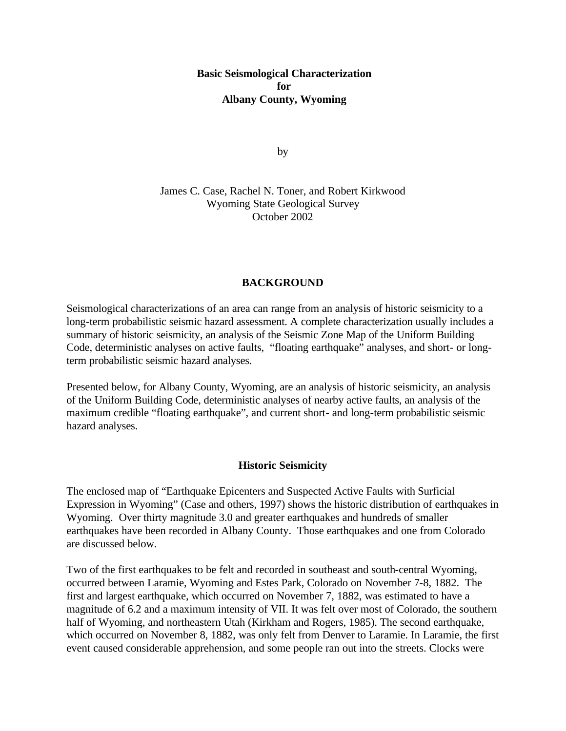**Basic Seismological Characterization for Albany County, Wyoming**

by

James C. Case, Rachel N. Toner, and Robert Kirkwood Wyoming State Geological Survey October 2002

## **BACKGROUND**

Seismological characterizations of an area can range from an analysis of historic seismicity to a long-term probabilistic seismic hazard assessment. A complete characterization usually includes a summary of historic seismicity, an analysis of the Seismic Zone Map of the Uniform Building Code, deterministic analyses on active faults, "floating earthquake" analyses, and short- or longterm probabilistic seismic hazard analyses.

Presented below, for Albany County, Wyoming, are an analysis of historic seismicity, an analysis of the Uniform Building Code, deterministic analyses of nearby active faults, an analysis of the maximum credible "floating earthquake", and current short- and long-term probabilistic seismic hazard analyses.

#### **Historic Seismicity**

The enclosed map of "Earthquake Epicenters and Suspected Active Faults with Surficial Expression in Wyoming" (Case and others, 1997) shows the historic distribution of earthquakes in Wyoming. Over thirty magnitude 3.0 and greater earthquakes and hundreds of smaller earthquakes have been recorded in Albany County. Those earthquakes and one from Colorado are discussed below.

Two of the first earthquakes to be felt and recorded in southeast and south-central Wyoming, occurred between Laramie, Wyoming and Estes Park, Colorado on November 7-8, 1882. The first and largest earthquake, which occurred on November 7, 1882, was estimated to have a magnitude of 6.2 and a maximum intensity of VII. It was felt over most of Colorado, the southern half of Wyoming, and northeastern Utah (Kirkham and Rogers, 1985). The second earthquake, which occurred on November 8, 1882, was only felt from Denver to Laramie. In Laramie, the first event caused considerable apprehension, and some people ran out into the streets. Clocks were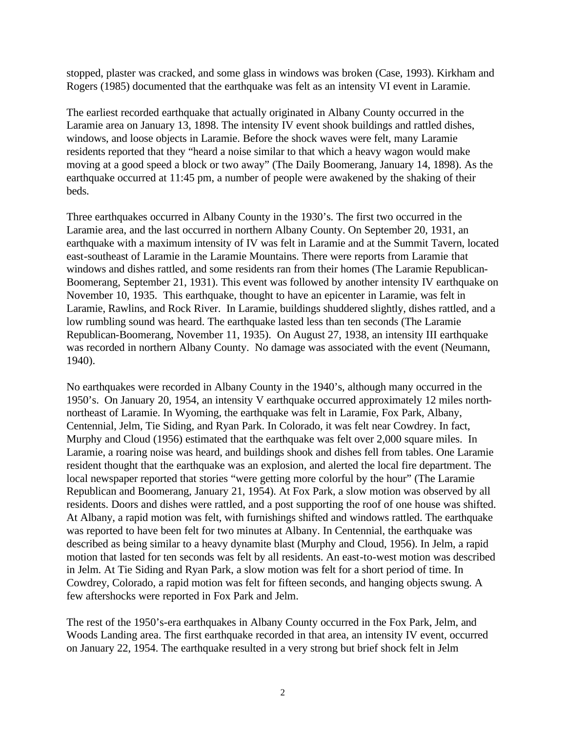stopped, plaster was cracked, and some glass in windows was broken (Case, 1993). Kirkham and Rogers (1985) documented that the earthquake was felt as an intensity VI event in Laramie.

The earliest recorded earthquake that actually originated in Albany County occurred in the Laramie area on January 13, 1898. The intensity IV event shook buildings and rattled dishes, windows, and loose objects in Laramie. Before the shock waves were felt, many Laramie residents reported that they "heard a noise similar to that which a heavy wagon would make moving at a good speed a block or two away" (The Daily Boomerang, January 14, 1898). As the earthquake occurred at 11:45 pm, a number of people were awakened by the shaking of their beds.

Three earthquakes occurred in Albany County in the 1930's. The first two occurred in the Laramie area, and the last occurred in northern Albany County. On September 20, 1931, an earthquake with a maximum intensity of IV was felt in Laramie and at the Summit Tavern, located east-southeast of Laramie in the Laramie Mountains. There were reports from Laramie that windows and dishes rattled, and some residents ran from their homes (The Laramie Republican-Boomerang, September 21, 1931). This event was followed by another intensity IV earthquake on November 10, 1935. This earthquake, thought to have an epicenter in Laramie, was felt in Laramie, Rawlins, and Rock River. In Laramie, buildings shuddered slightly, dishes rattled, and a low rumbling sound was heard. The earthquake lasted less than ten seconds (The Laramie Republican-Boomerang, November 11, 1935). On August 27, 1938, an intensity III earthquake was recorded in northern Albany County. No damage was associated with the event (Neumann, 1940).

No earthquakes were recorded in Albany County in the 1940's, although many occurred in the 1950's. On January 20, 1954, an intensity V earthquake occurred approximately 12 miles northnortheast of Laramie. In Wyoming, the earthquake was felt in Laramie, Fox Park, Albany, Centennial, Jelm, Tie Siding, and Ryan Park. In Colorado, it was felt near Cowdrey. In fact, Murphy and Cloud (1956) estimated that the earthquake was felt over 2,000 square miles. In Laramie, a roaring noise was heard, and buildings shook and dishes fell from tables. One Laramie resident thought that the earthquake was an explosion, and alerted the local fire department. The local newspaper reported that stories "were getting more colorful by the hour" (The Laramie Republican and Boomerang, January 21, 1954). At Fox Park, a slow motion was observed by all residents. Doors and dishes were rattled, and a post supporting the roof of one house was shifted. At Albany, a rapid motion was felt, with furnishings shifted and windows rattled. The earthquake was reported to have been felt for two minutes at Albany. In Centennial, the earthquake was described as being similar to a heavy dynamite blast (Murphy and Cloud, 1956). In Jelm, a rapid motion that lasted for ten seconds was felt by all residents. An east-to-west motion was described in Jelm. At Tie Siding and Ryan Park, a slow motion was felt for a short period of time. In Cowdrey, Colorado, a rapid motion was felt for fifteen seconds, and hanging objects swung. A few aftershocks were reported in Fox Park and Jelm.

The rest of the 1950's-era earthquakes in Albany County occurred in the Fox Park, Jelm, and Woods Landing area. The first earthquake recorded in that area, an intensity IV event, occurred on January 22, 1954. The earthquake resulted in a very strong but brief shock felt in Jelm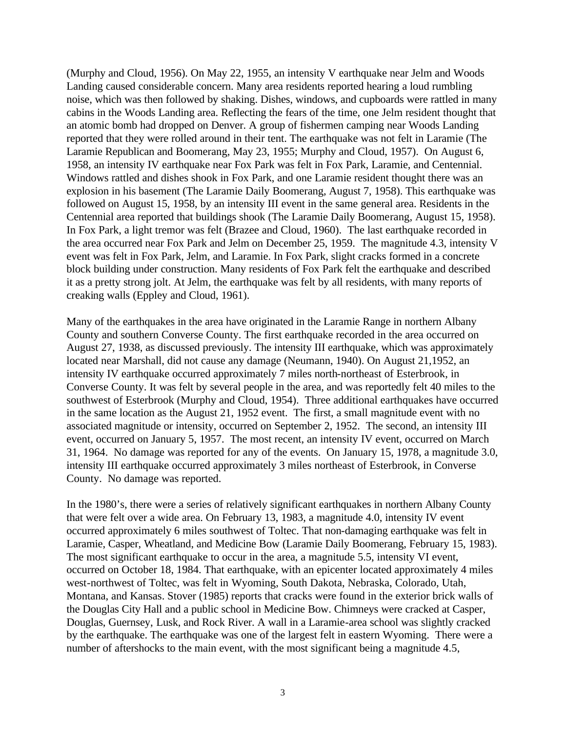(Murphy and Cloud, 1956). On May 22, 1955, an intensity V earthquake near Jelm and Woods Landing caused considerable concern. Many area residents reported hearing a loud rumbling noise, which was then followed by shaking. Dishes, windows, and cupboards were rattled in many cabins in the Woods Landing area. Reflecting the fears of the time, one Jelm resident thought that an atomic bomb had dropped on Denver. A group of fishermen camping near Woods Landing reported that they were rolled around in their tent. The earthquake was not felt in Laramie (The Laramie Republican and Boomerang, May 23, 1955; Murphy and Cloud, 1957). On August 6, 1958, an intensity IV earthquake near Fox Park was felt in Fox Park, Laramie, and Centennial. Windows rattled and dishes shook in Fox Park, and one Laramie resident thought there was an explosion in his basement (The Laramie Daily Boomerang, August 7, 1958). This earthquake was followed on August 15, 1958, by an intensity III event in the same general area. Residents in the Centennial area reported that buildings shook (The Laramie Daily Boomerang, August 15, 1958). In Fox Park, a light tremor was felt (Brazee and Cloud, 1960). The last earthquake recorded in the area occurred near Fox Park and Jelm on December 25, 1959. The magnitude 4.3, intensity V event was felt in Fox Park, Jelm, and Laramie. In Fox Park, slight cracks formed in a concrete block building under construction. Many residents of Fox Park felt the earthquake and described it as a pretty strong jolt. At Jelm, the earthquake was felt by all residents, with many reports of creaking walls (Eppley and Cloud, 1961).

Many of the earthquakes in the area have originated in the Laramie Range in northern Albany County and southern Converse County. The first earthquake recorded in the area occurred on August 27, 1938, as discussed previously. The intensity III earthquake, which was approximately located near Marshall, did not cause any damage (Neumann, 1940). On August 21,1952, an intensity IV earthquake occurred approximately 7 miles north-northeast of Esterbrook, in Converse County. It was felt by several people in the area, and was reportedly felt 40 miles to the southwest of Esterbrook (Murphy and Cloud, 1954). Three additional earthquakes have occurred in the same location as the August 21, 1952 event. The first, a small magnitude event with no associated magnitude or intensity, occurred on September 2, 1952. The second, an intensity III event, occurred on January 5, 1957. The most recent, an intensity IV event, occurred on March 31, 1964. No damage was reported for any of the events. On January 15, 1978, a magnitude 3.0, intensity III earthquake occurred approximately 3 miles northeast of Esterbrook, in Converse County. No damage was reported.

In the 1980's, there were a series of relatively significant earthquakes in northern Albany County that were felt over a wide area. On February 13, 1983, a magnitude 4.0, intensity IV event occurred approximately 6 miles southwest of Toltec. That non-damaging earthquake was felt in Laramie, Casper, Wheatland, and Medicine Bow (Laramie Daily Boomerang, February 15, 1983). The most significant earthquake to occur in the area, a magnitude 5.5, intensity VI event, occurred on October 18, 1984. That earthquake, with an epicenter located approximately 4 miles west-northwest of Toltec, was felt in Wyoming, South Dakota, Nebraska, Colorado, Utah, Montana, and Kansas. Stover (1985) reports that cracks were found in the exterior brick walls of the Douglas City Hall and a public school in Medicine Bow. Chimneys were cracked at Casper, Douglas, Guernsey, Lusk, and Rock River. A wall in a Laramie-area school was slightly cracked by the earthquake. The earthquake was one of the largest felt in eastern Wyoming. There were a number of aftershocks to the main event, with the most significant being a magnitude 4.5,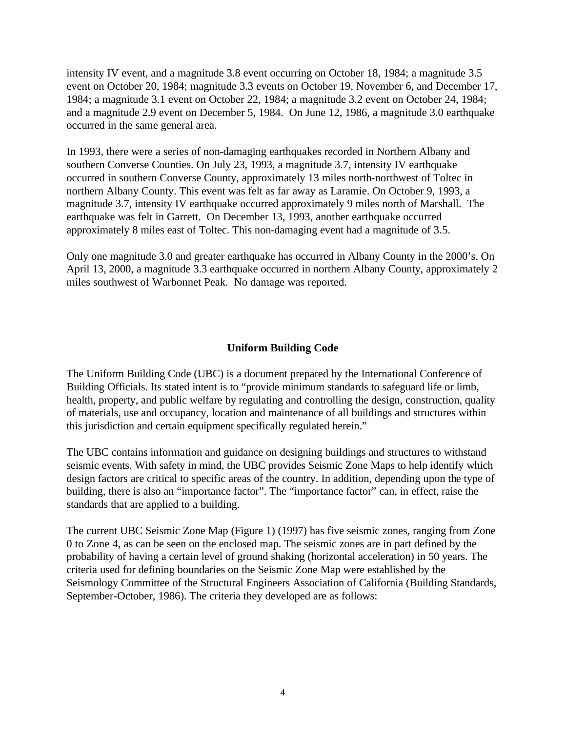intensity IV event, and a magnitude 3.8 event occurring on October 18, 1984; a magnitude 3.5 event on October 20, 1984; magnitude 3.3 events on October 19, November 6, and December 17, 1984; a magnitude 3.1 event on October 22, 1984; a magnitude 3.2 event on October 24, 1984; and a magnitude 2.9 event on December 5, 1984. On June 12, 1986, a magnitude 3.0 earthquake occurred in the same general area.

In 1993, there were a series of non-damaging earthquakes recorded in Northern Albany and southern Converse Counties. On July 23, 1993, a magnitude 3.7, intensity IV earthquake occurred in southern Converse County, approximately 13 miles north-northwest of Toltec in northern Albany County. This event was felt as far away as Laramie. On October 9, 1993, a magnitude 3.7, intensity IV earthquake occurred approximately 9 miles north of Marshall. The earthquake was felt in Garrett. On December 13, 1993, another earthquake occurred approximately 8 miles east of Toltec. This non-damaging event had a magnitude of 3.5.

Only one magnitude 3.0 and greater earthquake has occurred in Albany County in the 2000's. On April 13, 2000, a magnitude 3.3 earthquake occurred in northern Albany County, approximately 2 miles southwest of Warbonnet Peak. No damage was reported.

# **Uniform Building Code**

The Uniform Building Code (UBC) is a document prepared by the International Conference of Building Officials. Its stated intent is to "provide minimum standards to safeguard life or limb, health, property, and public welfare by regulating and controlling the design, construction, quality of materials, use and occupancy, location and maintenance of all buildings and structures within this jurisdiction and certain equipment specifically regulated herein."

The UBC contains information and guidance on designing buildings and structures to withstand seismic events. With safety in mind, the UBC provides Seismic Zone Maps to help identify which design factors are critical to specific areas of the country. In addition, depending upon the type of building, there is also an "importance factor". The "importance factor" can, in effect, raise the standards that are applied to a building.

The current UBC Seismic Zone Map (Figure 1) (1997) has five seismic zones, ranging from Zone 0 to Zone 4, as can be seen on the enclosed map. The seismic zones are in part defined by the probability of having a certain level of ground shaking (horizontal acceleration) in 50 years. The criteria used for defining boundaries on the Seismic Zone Map were established by the Seismology Committee of the Structural Engineers Association of California (Building Standards, September-October, 1986). The criteria they developed are as follows: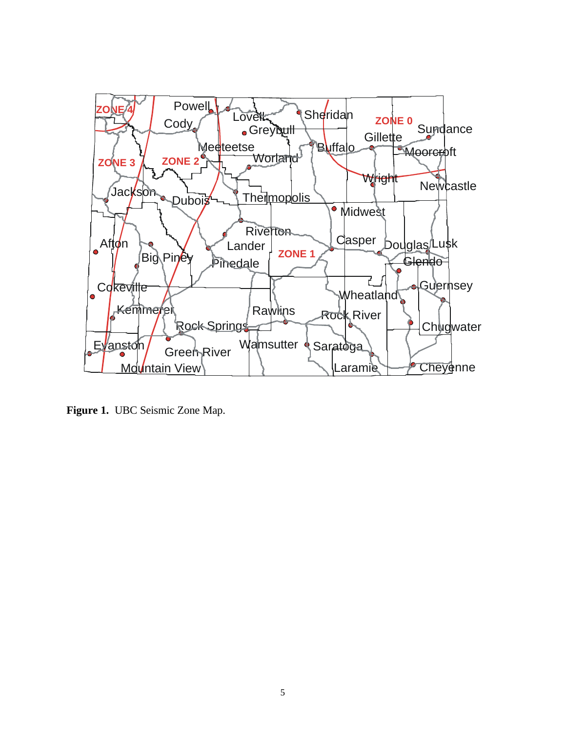

**Figure 1.** UBC Seismic Zone Map.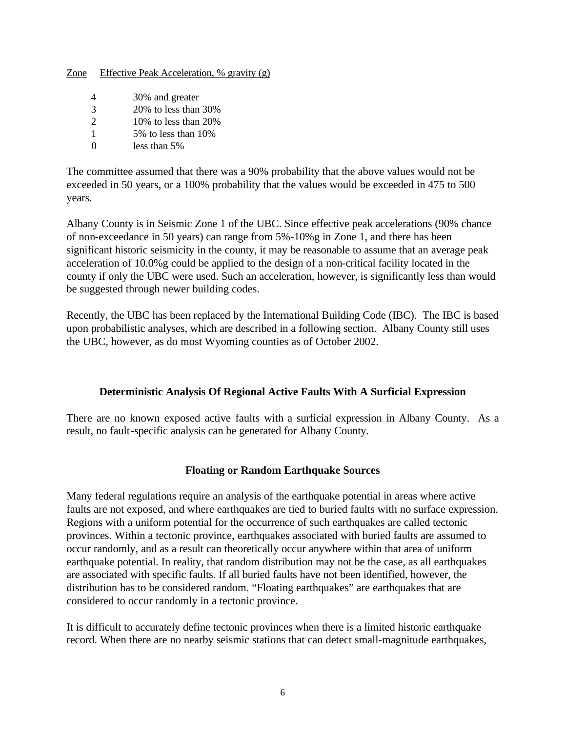Zone Effective Peak Acceleration, % gravity (g)

| 4                           | 30% and greater            |
|-----------------------------|----------------------------|
| 3                           | $20\%$ to less than $30\%$ |
| $\mathcal{D}_{\mathcal{L}}$ | 10\% to less than 20\%     |
| 1                           | 5% to less than $10\%$     |
| 0                           | less than 5%               |

The committee assumed that there was a 90% probability that the above values would not be exceeded in 50 years, or a 100% probability that the values would be exceeded in 475 to 500 years.

Albany County is in Seismic Zone 1 of the UBC. Since effective peak accelerations (90% chance of non-exceedance in 50 years) can range from 5%-10%g in Zone 1, and there has been significant historic seismicity in the county, it may be reasonable to assume that an average peak acceleration of 10.0%g could be applied to the design of a non-critical facility located in the county if only the UBC were used. Such an acceleration, however, is significantly less than would be suggested through newer building codes.

Recently, the UBC has been replaced by the International Building Code (IBC). The IBC is based upon probabilistic analyses, which are described in a following section. Albany County still uses the UBC, however, as do most Wyoming counties as of October 2002.

# **Deterministic Analysis Of Regional Active Faults With A Surficial Expression**

There are no known exposed active faults with a surficial expression in Albany County. As a result, no fault-specific analysis can be generated for Albany County.

# **Floating or Random Earthquake Sources**

Many federal regulations require an analysis of the earthquake potential in areas where active faults are not exposed, and where earthquakes are tied to buried faults with no surface expression. Regions with a uniform potential for the occurrence of such earthquakes are called tectonic provinces. Within a tectonic province, earthquakes associated with buried faults are assumed to occur randomly, and as a result can theoretically occur anywhere within that area of uniform earthquake potential. In reality, that random distribution may not be the case, as all earthquakes are associated with specific faults. If all buried faults have not been identified, however, the distribution has to be considered random. "Floating earthquakes" are earthquakes that are considered to occur randomly in a tectonic province.

It is difficult to accurately define tectonic provinces when there is a limited historic earthquake record. When there are no nearby seismic stations that can detect small-magnitude earthquakes,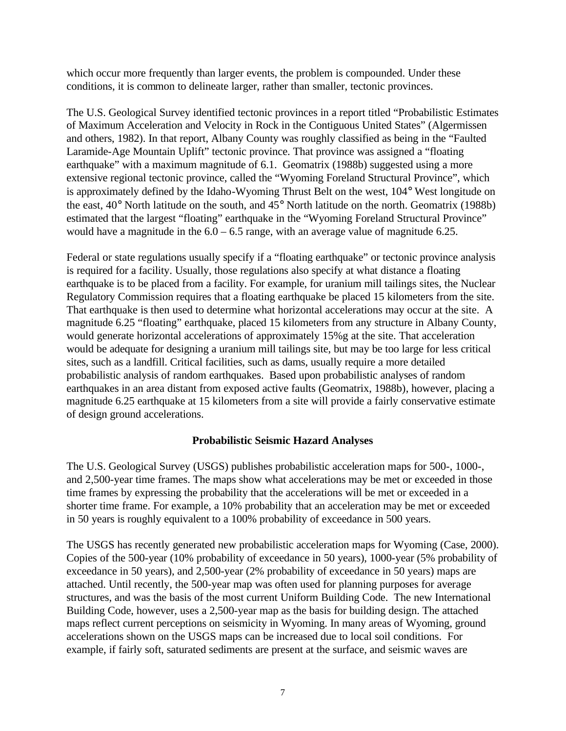which occur more frequently than larger events, the problem is compounded. Under these conditions, it is common to delineate larger, rather than smaller, tectonic provinces.

The U.S. Geological Survey identified tectonic provinces in a report titled "Probabilistic Estimates of Maximum Acceleration and Velocity in Rock in the Contiguous United States" (Algermissen and others, 1982). In that report, Albany County was roughly classified as being in the "Faulted Laramide-Age Mountain Uplift" tectonic province. That province was assigned a "floating earthquake" with a maximum magnitude of 6.1. Geomatrix (1988b) suggested using a more extensive regional tectonic province, called the "Wyoming Foreland Structural Province", which is approximately defined by the Idaho-Wyoming Thrust Belt on the west, 104° West longitude on the east, 40° North latitude on the south, and 45° North latitude on the north. Geomatrix (1988b) estimated that the largest "floating" earthquake in the "Wyoming Foreland Structural Province" would have a magnitude in the  $6.0 - 6.5$  range, with an average value of magnitude 6.25.

Federal or state regulations usually specify if a "floating earthquake" or tectonic province analysis is required for a facility. Usually, those regulations also specify at what distance a floating earthquake is to be placed from a facility. For example, for uranium mill tailings sites, the Nuclear Regulatory Commission requires that a floating earthquake be placed 15 kilometers from the site. That earthquake is then used to determine what horizontal accelerations may occur at the site. A magnitude 6.25 "floating" earthquake, placed 15 kilometers from any structure in Albany County, would generate horizontal accelerations of approximately 15%g at the site. That acceleration would be adequate for designing a uranium mill tailings site, but may be too large for less critical sites, such as a landfill. Critical facilities, such as dams, usually require a more detailed probabilistic analysis of random earthquakes. Based upon probabilistic analyses of random earthquakes in an area distant from exposed active faults (Geomatrix, 1988b), however, placing a magnitude 6.25 earthquake at 15 kilometers from a site will provide a fairly conservative estimate of design ground accelerations.

# **Probabilistic Seismic Hazard Analyses**

The U.S. Geological Survey (USGS) publishes probabilistic acceleration maps for 500-, 1000-, and 2,500-year time frames. The maps show what accelerations may be met or exceeded in those time frames by expressing the probability that the accelerations will be met or exceeded in a shorter time frame. For example, a 10% probability that an acceleration may be met or exceeded in 50 years is roughly equivalent to a 100% probability of exceedance in 500 years.

The USGS has recently generated new probabilistic acceleration maps for Wyoming (Case, 2000). Copies of the 500-year (10% probability of exceedance in 50 years), 1000-year (5% probability of exceedance in 50 years), and 2,500-year (2% probability of exceedance in 50 years) maps are attached. Until recently, the 500-year map was often used for planning purposes for average structures, and was the basis of the most current Uniform Building Code. The new International Building Code, however, uses a 2,500-year map as the basis for building design. The attached maps reflect current perceptions on seismicity in Wyoming. In many areas of Wyoming, ground accelerations shown on the USGS maps can be increased due to local soil conditions. For example, if fairly soft, saturated sediments are present at the surface, and seismic waves are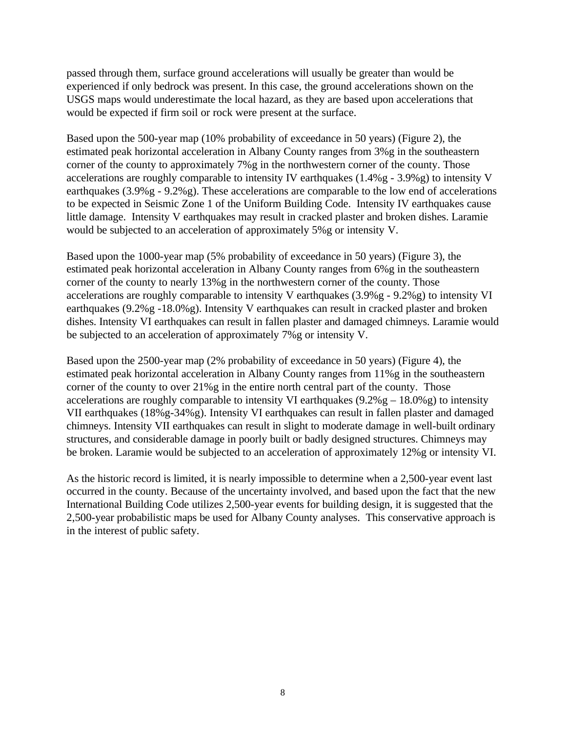passed through them, surface ground accelerations will usually be greater than would be experienced if only bedrock was present. In this case, the ground accelerations shown on the USGS maps would underestimate the local hazard, as they are based upon accelerations that would be expected if firm soil or rock were present at the surface.

Based upon the 500-year map (10% probability of exceedance in 50 years) (Figure 2), the estimated peak horizontal acceleration in Albany County ranges from 3%g in the southeastern corner of the county to approximately 7%g in the northwestern corner of the county. Those accelerations are roughly comparable to intensity IV earthquakes (1.4%g - 3.9%g) to intensity V earthquakes (3.9%g - 9.2%g). These accelerations are comparable to the low end of accelerations to be expected in Seismic Zone 1 of the Uniform Building Code. Intensity IV earthquakes cause little damage. Intensity V earthquakes may result in cracked plaster and broken dishes. Laramie would be subjected to an acceleration of approximately 5%g or intensity V.

Based upon the 1000-year map (5% probability of exceedance in 50 years) (Figure 3), the estimated peak horizontal acceleration in Albany County ranges from 6%g in the southeastern corner of the county to nearly 13%g in the northwestern corner of the county. Those accelerations are roughly comparable to intensity V earthquakes (3.9%g - 9.2%g) to intensity VI earthquakes (9.2%g -18.0%g). Intensity V earthquakes can result in cracked plaster and broken dishes. Intensity VI earthquakes can result in fallen plaster and damaged chimneys. Laramie would be subjected to an acceleration of approximately 7%g or intensity V.

Based upon the 2500-year map (2% probability of exceedance in 50 years) (Figure 4), the estimated peak horizontal acceleration in Albany County ranges from 11%g in the southeastern corner of the county to over 21%g in the entire north central part of the county. Those accelerations are roughly comparable to intensity VI earthquakes  $(9.2\%g - 18.0\%g)$  to intensity VII earthquakes (18%g-34%g). Intensity VI earthquakes can result in fallen plaster and damaged chimneys. Intensity VII earthquakes can result in slight to moderate damage in well-built ordinary structures, and considerable damage in poorly built or badly designed structures. Chimneys may be broken. Laramie would be subjected to an acceleration of approximately 12%g or intensity VI.

As the historic record is limited, it is nearly impossible to determine when a 2,500-year event last occurred in the county. Because of the uncertainty involved, and based upon the fact that the new International Building Code utilizes 2,500-year events for building design, it is suggested that the 2,500-year probabilistic maps be used for Albany County analyses. This conservative approach is in the interest of public safety.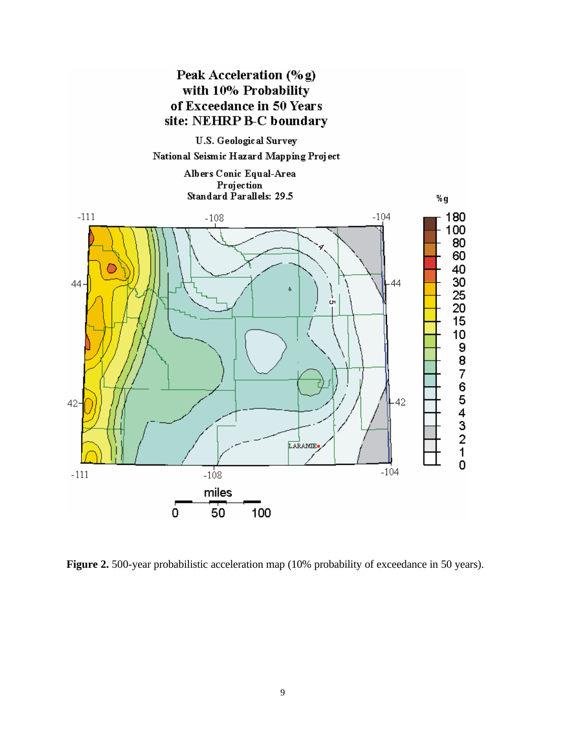

Figure 2. 500-year probabilistic acceleration map (10% probability of exceedance in 50 years).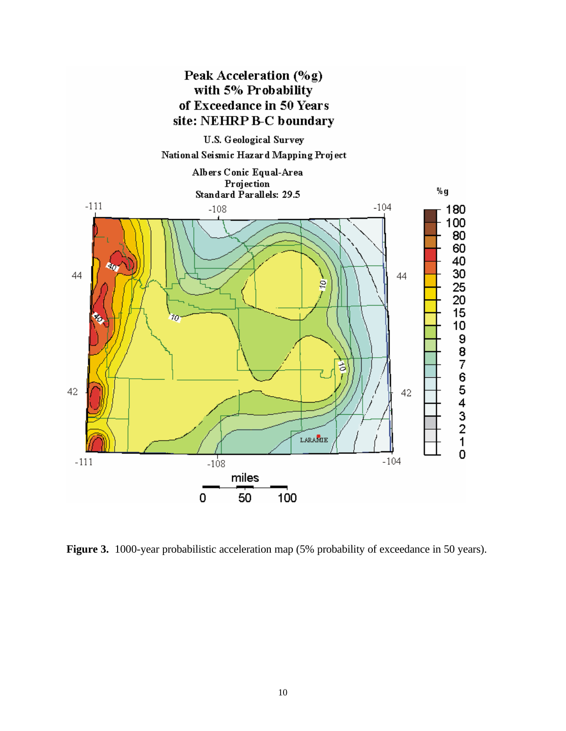

Figure 3. 1000-year probabilistic acceleration map (5% probability of exceedance in 50 years).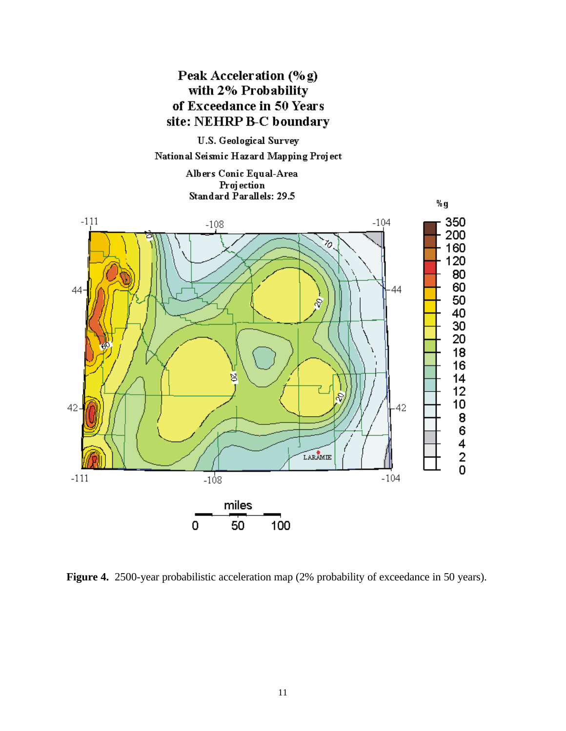

Figure 4. 2500-year probabilistic acceleration map (2% probability of exceedance in 50 years).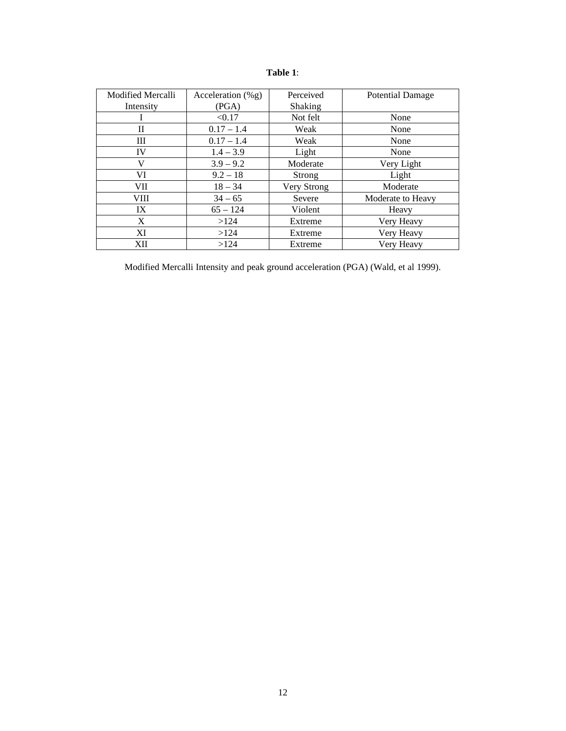| able |  |
|------|--|
|      |  |

| Modified Mercalli | Acceleration $(\% g)$ | Perceived      | <b>Potential Damage</b> |
|-------------------|-----------------------|----------------|-------------------------|
| Intensity         | (PGA)                 | <b>Shaking</b> |                         |
| Ι.                | < 0.17                | Not felt       | None                    |
| H                 | $0.17 - 1.4$          | Weak           | None                    |
| Ш                 | $0.17 - 1.4$          | Weak           | None                    |
| IV                | $1.4 - 3.9$           | Light          | None                    |
| V                 | $3.9 - 9.2$           | Moderate       | Very Light              |
| VI                | $9.2 - 18$            | Strong         | Light                   |
| <b>VII</b>        | $18 - 34$             | Very Strong    | Moderate                |
| VIII              | $34 - 65$             | Severe         | Moderate to Heavy       |
| IX                | $65 - 124$            | Violent        | Heavy                   |
| X                 | >124                  | Extreme        | Very Heavy              |
| XI                | >124                  | Extreme        | Very Heavy              |
| XІІ               | >124                  | Extreme        | Very Heavy              |

Modified Mercalli Intensity and peak ground acceleration (PGA) (Wald, et al 1999).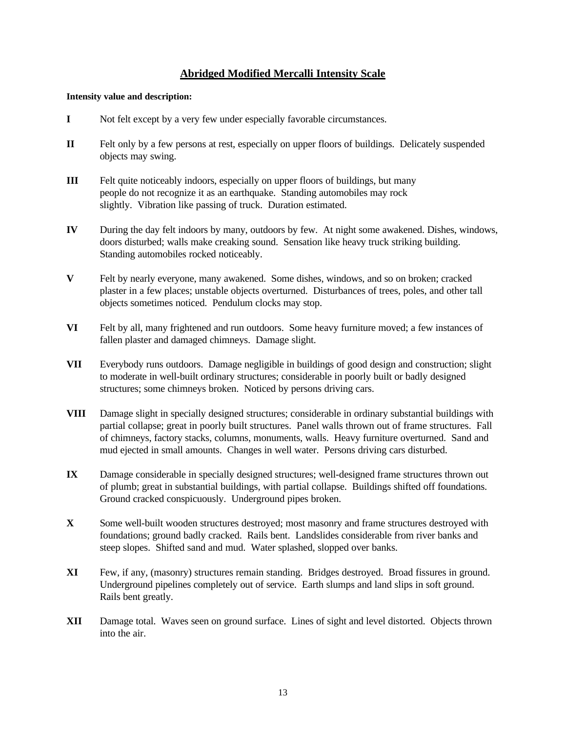# **Abridged Modified Mercalli Intensity Scale**

#### **Intensity value and description:**

- **I** Not felt except by a very few under especially favorable circumstances.
- **II** Felt only by a few persons at rest, especially on upper floors of buildings. Delicately suspended objects may swing.
- **III** Felt quite noticeably indoors, especially on upper floors of buildings, but many people do not recognize it as an earthquake. Standing automobiles may rock slightly. Vibration like passing of truck. Duration estimated.
- **IV** During the day felt indoors by many, outdoors by few. At night some awakened. Dishes, windows, doors disturbed; walls make creaking sound. Sensation like heavy truck striking building. Standing automobiles rocked noticeably.
- **V** Felt by nearly everyone, many awakened. Some dishes, windows, and so on broken; cracked plaster in a few places; unstable objects overturned. Disturbances of trees, poles, and other tall objects sometimes noticed. Pendulum clocks may stop.
- **VI** Felt by all, many frightened and run outdoors. Some heavy furniture moved; a few instances of fallen plaster and damaged chimneys. Damage slight.
- **VII** Everybody runs outdoors. Damage negligible in buildings of good design and construction; slight to moderate in well-built ordinary structures; considerable in poorly built or badly designed structures; some chimneys broken. Noticed by persons driving cars.
- **VIII** Damage slight in specially designed structures; considerable in ordinary substantial buildings with partial collapse; great in poorly built structures. Panel walls thrown out of frame structures. Fall of chimneys, factory stacks, columns, monuments, walls. Heavy furniture overturned. Sand and mud ejected in small amounts. Changes in well water. Persons driving cars disturbed.
- **IX** Damage considerable in specially designed structures; well-designed frame structures thrown out of plumb; great in substantial buildings, with partial collapse. Buildings shifted off foundations. Ground cracked conspicuously. Underground pipes broken.
- **X** Some well-built wooden structures destroyed; most masonry and frame structures destroyed with foundations; ground badly cracked. Rails bent. Landslides considerable from river banks and steep slopes. Shifted sand and mud. Water splashed, slopped over banks.
- **XI** Few, if any, (masonry) structures remain standing. Bridges destroyed. Broad fissures in ground. Underground pipelines completely out of service. Earth slumps and land slips in soft ground. Rails bent greatly.
- **XII** Damage total. Waves seen on ground surface. Lines of sight and level distorted. Objects thrown into the air.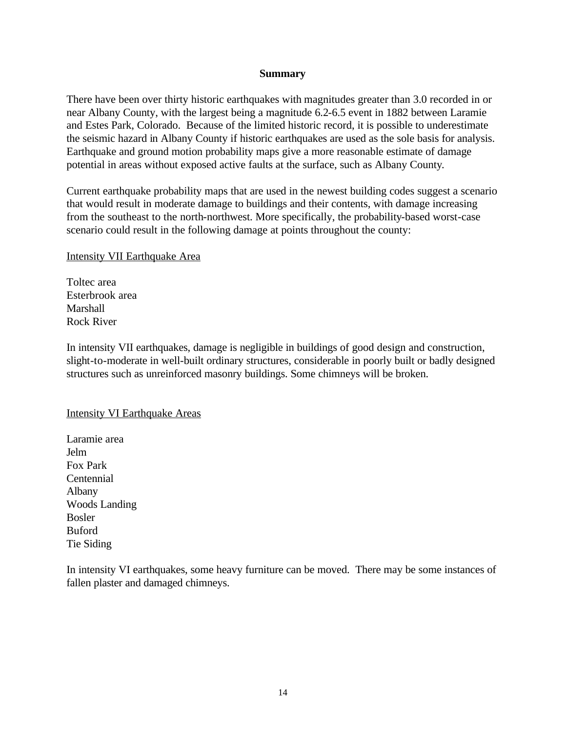## **Summary**

There have been over thirty historic earthquakes with magnitudes greater than 3.0 recorded in or near Albany County, with the largest being a magnitude 6.2-6.5 event in 1882 between Laramie and Estes Park, Colorado. Because of the limited historic record, it is possible to underestimate the seismic hazard in Albany County if historic earthquakes are used as the sole basis for analysis. Earthquake and ground motion probability maps give a more reasonable estimate of damage potential in areas without exposed active faults at the surface, such as Albany County.

Current earthquake probability maps that are used in the newest building codes suggest a scenario that would result in moderate damage to buildings and their contents, with damage increasing from the southeast to the north-northwest. More specifically, the probability-based worst-case scenario could result in the following damage at points throughout the county:

Intensity VII Earthquake Area

Toltec area Esterbrook area **Marshall** Rock River

In intensity VII earthquakes, damage is negligible in buildings of good design and construction, slight-to-moderate in well-built ordinary structures, considerable in poorly built or badly designed structures such as unreinforced masonry buildings. Some chimneys will be broken.

# Intensity VI Earthquake Areas

Laramie area Jelm Fox Park Centennial Albany Woods Landing Bosler Buford Tie Siding

In intensity VI earthquakes, some heavy furniture can be moved. There may be some instances of fallen plaster and damaged chimneys.